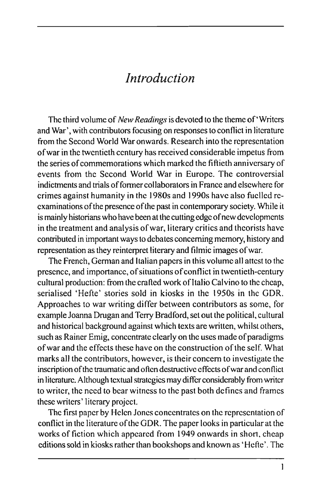## *Introduction*

The third volume of *New Readings* is devoted to the theme of'Writers and War', with contributors focusing on responses to conflict in literature from the Second World War onwards. Research into the representation ofwar in the twentieth century has received considerable impetus from the series of commemorations which marked the fiftieth anniversary of events from the Second World War in Europe. The controversial indictments and trials of fonner collaborators in France and elsewhere for crimes against humanity in the 1980s and 1990s have also fuelled reexaminations of the presence of the past in contemporary society. While it is mainly historians who have been at the cutting edge of new developments in the treatment and analysis of war, literary critics and theorists have contributed in important ways to debates concerning memory, history and representation as they reinterpret literary and filmic images of war.

The French, German and Italian papers in this volume all attest to the presence, and importance, of situations of conflict in twentieth-century cultural production: from the crafted work of Italio Calvino to the cheap, serialised 'Hefte' stories sold in kiosks in the 1950s in the GDR. Approaches to war writing differ between contributors as some, for example Joanna Drugan and Terry Bradford, set out the political, cultural and historical background against which texts are written, whilst others, such as Rainer Emig, concentrate clearly on the uses made of paradigms of war and the effects these have on the construction of the self. What marks all the contributors, however, is their concern to investigate the inscription of the traumatic and often destructive effects of war and conflict in literature. Although textual strategics may differ considerably from writer to writer, the need to bear witness to the past both defines and frames these writers' literary project.

The first paper by Helen Jones concentrates on the representation of conflict in the literature of the GDR. The paper looks in particular at the works of fiction which appeared from 1949 onwards in short, cheap editions sold in kiosks rather than bookshops and known as 'Hefte'. The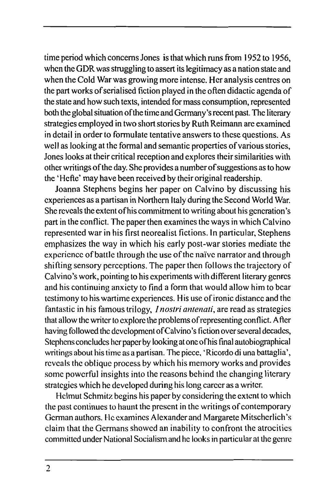time period which concerns Jones is that which runs from 1952 to 1956, when the GDR was struggling to assert its legitimacy as a nation state and when the Cold War was growing more intense. Her analysis centres on the part works of serialised fiction played in the often didactic agenda of the state and how such texts, intended for mass consumption, represented both the global situation of the time and Germany's recent past. The literary strategies employed in two short stories by Ruth Reimann are examined in detail in order to formulate tentative answers to these questions. As well as looking at the formal and semantic properties of various stories, Jones looks at their critical reception and explores their similarities with other writings of the day. She provides a number of suggestions as to how the ' Hefte' may have been received by their original readership.

Joanna Stephens begins her paper on Calvino by discussing his experiences as a partisan in Northern Italy during the Second World War. She reveals the extent ofhis commitment to writing about his generation's part in the conflict. The paper then examines the ways in which Calvino represented war in his first neorealist fictions. In particular, Stephens emphasizes the way in which his early post-war stories mediate the experience of battle through the use of the naive narrator and through shifting sensory perceptions. The paper then follows the trajectory of Calvino's work, pointing to his experiments with different literary genres and his continuing anxiety to find a form that would allow him to bear testimony to his wartime experiences. His use of ironic distance and the fantastic in his famous trilogy, *I nostri antenati,* are read as strategies that allow the writer to explore the problems of representing conflict. After having followed the development of Calvino's fiction over several decades, Stephens concludes her paper by looking at one ofhis final autobiographical writings about his time as a partisan. The piece, 'Ricordo di una battaglia', reveals the oblique process by which his memory works and provides some powerful insights into the reasons behind the changing literary strategies which he developed during his long career as a writer.

Helmut Schmitz begins his paper by considering the extent to which the past continues to haunt the present in the writings of contemporary German authors. He examines Alexanderand Margarete Mitscherlich's claim that the Germans showed an inability to confront the atrocities committed under National Socialism and he looks in particular at the genre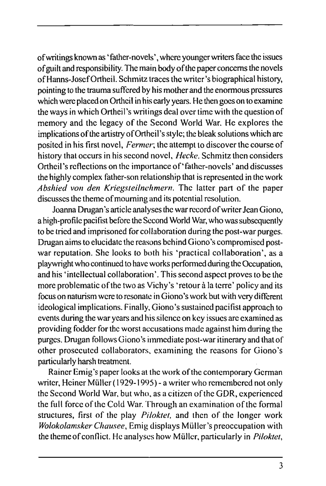of writings known as 'father-novels', where younger writers face the issues of guilt and responsibility. The main body of the paper concems the novels of Hanns-Josef Ortheil. Schmitz traces the writer's biographical history, pointing to the trauma suffered by his mother and the enormous pressures which were placed on Ortheil in his early years. He then goes on to examine the ways in which Ortheil's writings deal over time with the question of memory and the legacy of the Second World War. He explores the implications of the artistry of Ortheil's style; the bleak solutions which are posited in his first novel. *Fermer;* the attempt to discover the course of history that occurs in his second novel, *Hecke.* Schmitz then considers Ortheil's reflections on the importance of'father-novels' and discusses the highly complex father-son relationship that is represented in the work *Abshied von den Kriegsteilnehmern.* The latter part of the paper discusses the theme of mouming and its potential resolution.

Joanna Drugan's article analyses the war record of writer Jean Giono, a high-profile pacifist before the Second World War, who was subsequently to be tried and imprisoned for col laboration during the post-war purges. Drugan aims to elucidate the reasons behind Giono's compromised postwar reputation. She looks to both his 'practical collaboration', as a playwright who continued to have works performed during the Occupation, and his 'intellectual collaboration'. This second aspect proves to be the more problematic of the two as Vichy's 'retour à la terre' policy and its focus on naturism were to resonate in Giono's work but with very different ideological implications. Finally, Giono's sustained pacifist approach to events during the war years and his silence on key issues are examined as providing fodder for the worst accusations made against him during the purges. Dmgan follows Giono's immediate post-war itinerary and that of other prosecuted collaborators, examining the reasons for Giono's particularly harsh treatment.

Rainer Emig's paper looks at the work of the contemporary German writer, Heiner Müller (1929-1995) - a writer who remembered not only the Second World War, but who, as a citizen of the GDR, experienced the full force of the Cold War. Through an examination of the formal structures, first of the play *Piloktet,* and then of the longer work *Wolokolamsker Chausee,* Emig displays Müller's preoccupation with the theme of conflict. He analyses how Müller, particularly in *Piloktet,*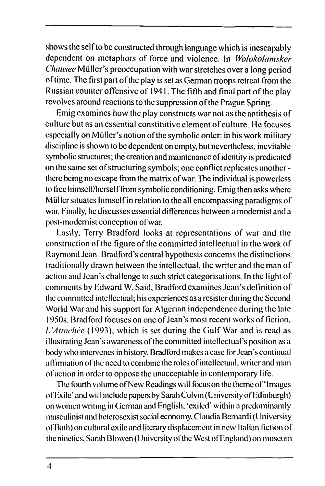shows the self to be constmcted through language which is inescapably dependent on metaphors of force and violence. In *Wolokolamsker Chausee* Müllcr's preoccupation with war stretches over a long period of time. The first part of the play is set as German troops retreat from the Russian counter offensive of 1941. The fifth and final part of the play revolves around reactions to the suppression of the Prague Spring.

Emig examines how the play constructs war not as the antithesis of culture but as an essential constitutive element of culture. He focuses especially on Müller's notion of the symbolic order: in his work military discipline is shown to be dependent on empty, but nevertheless, inevitable symbolic structures; the creation and maintenance of identity is predicated on the same set of structuring symbols; one conflict replicates another there being no escape from the matrix of war. The individual is powerless to free himself/herself from symbolic conditioning. Emig then asks where Müller situates himself in relation to the all encompassing paradigms of war. Finally, he discusses essential differences between a modernist and a post-modernist conception of war.

Lastly, Terry Bradford looks at representations of war and the construction of the figure of the committed intellectual in the work of Raymond Jean. Bradford's central hypothesis concems the distinctions traditionally drawn between the intellectual, the writer and the man of action and Jean's challenge to such strict categorisations. In the light of comments by Edward W. Said, Bradford examines Jean's definition of the committed intellectual; his experiences as a resister during the Second World War and his support for Algerian independence during the late 1950s. Bradford focuses on one of Jean's most recent works of fiction, /. *'Attachée* (1993), which is set during the Gulf War and is read as illustrating Jean's awareness of the committed intellectual's position as a body who intervenes in history. Bradford makes a case for Jean's continual affirmation oflhc need to combine the roles of intellectual, writer and man of action in order to oppose the unacceptable in contemporary life.

The fourth volume of New Readings will focus on the theme of 'Images' of Exile' and will include papers by Sarah Colvin (University of Fdinburgh) on women writing in German and English, 'exiled' within a predominantly masculinist and heterosexist social economy, Claudia Bcmardi (University of Bath) on cultural exile and literary displacement in new Italian fiction of the nineties, Sarah Blowen (University of the West of England) *on* museum